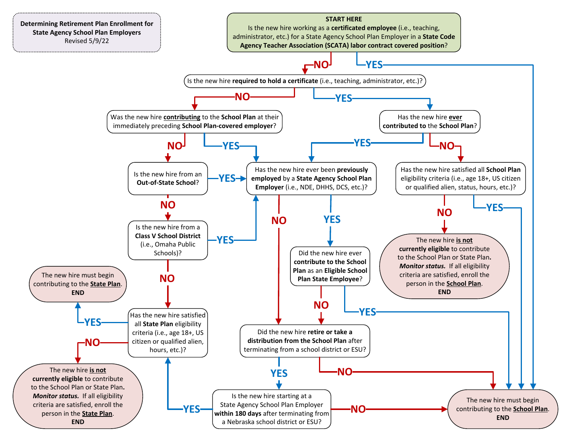